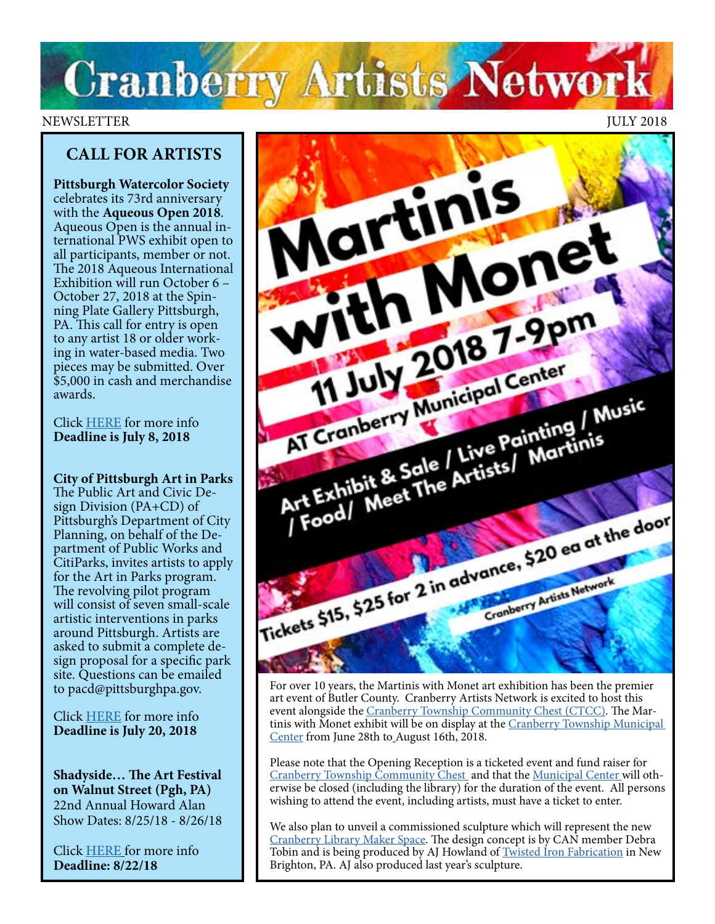# **Cranberry Artists Network**

## NEWSLETTER JULY 2018

## **CALL FOR ARTISTS**

**Pittsburgh Watercolor Society** celebrates its 73rd anniversary with the **Aqueous Open 2018**. Aqueous Open is the annual international PWS exhibit open to all participants, member or not. The 2018 Aqueous International Exhibition will run October 6 – October 27, 2018 at the Spinning Plate Gallery Pittsburgh, PA. This call for entry is open to any artist 18 or older working in water-based media. Two pieces may be submitted. Over \$5,000 in cash and merchandise awards.

Click [HERE](https://www.pittsburghwatercolorsociety.com/event-2927666) for more info **Deadline is July 8, 2018**

**City of Pittsburgh Art in Parks**  The Public Art and Civic Design Division (PA+CD) of Pittsburgh's Department of City Planning, on behalf of the Department of Public Works and CitiParks, invites artists to apply for the Art in Parks program. The revolving pilot program will consist of seven small-scale artistic interventions in parks around Pittsburgh. Artists are asked to submit a complete design proposal for a specific park site. Questions can be emailed to pacd@pittsburghpa.gov.

Click [HERE](http://apps.pittsburghpa.gov/redtail/images/3028_Call_for_Artist_binder_06.20.18.pdf) for more info **Deadline is July 20, 2018**

**Shadyside… The Art Festival on Walnut Street (Pgh, PA)** 22nd Annual Howard Alan Show Dates: 8/25/18 - 8/26/18

Click [HERE](https://www.zapplication.org/event-info.php?ID=6118) for more info **Deadline: 8/22/18** 



For over 10 years, the Martinis with Monet art exhibition has been the premier art event of Butler County. Cranberry Artists Network is excited to host this event alongside the [Cranberry Township Community Chest \(CTCC\).](https://ctcchest.org/) The Martinis with Monet exhibit will be on display at the Cranberry Township Municipal [Center](http://www.cranberrytownship.org/482/Municipal-Center) from June 28th to August 16th, 2018.

Please note that the Opening Reception is a ticketed event and fund raiser for [Cranberry Township Community Chest](https://ctcchest.org/) and that the [Municipal Center w](http://www.cranberrytownship.org/482/Municipal-Center)ill otherwise be closed (including the library) for the duration of the event. All persons wishing to attend the event, including artists, must have a ticket to enter.

We also plan to unveil a commissioned sculpture which will represent the new [Cranberry Library Maker Space](https://patch.com/pennsylvania/cranberry/cranberry-library-get-750-000-makeover). The design concept is by CAN member Debra Tobin and is being produced by AJ Howland of [Twisted Iron Fabrication](http://twistedironfab.com) in New Brighton, PA. AJ also produced last year's sculpture.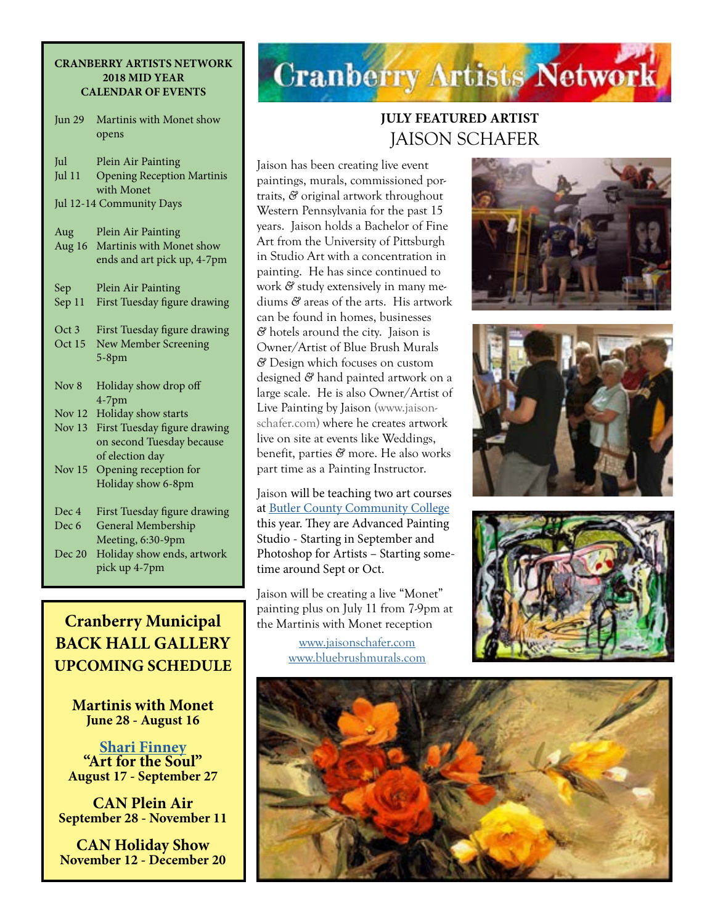#### **CRANBERRY ARTISTS NETWORK 2018 MID YEAR CALENDAR OF EVENTS**

Jun 29 Martinis with Monet show opens

| Jul                      | Plein Air Painting                                 |  |
|--------------------------|----------------------------------------------------|--|
| Jul $11$                 | <b>Opening Reception Martinis</b>                  |  |
|                          | with Monet                                         |  |
| Jul 12-14 Community Days |                                                    |  |
|                          |                                                    |  |
| Aug                      | Plein Air Painting                                 |  |
| Aug 16                   | Martinis with Monet show                           |  |
|                          | ends and art pick up, 4-7pm                        |  |
|                          |                                                    |  |
| Sep                      | Plein Air Painting<br>First Tuesday figure drawing |  |
| Sep 11                   |                                                    |  |
| Oct <sub>3</sub>         | First Tuesday figure drawing                       |  |
| Oct 15                   | <b>New Member Screening</b>                        |  |
|                          | $5-8$ pm                                           |  |
|                          |                                                    |  |
| Nov <sub>8</sub>         | Holiday show drop off                              |  |
|                          | $4-7$ pm                                           |  |
| Nov 12                   | Holiday show starts                                |  |
| Nov $13$                 | First Tuesday figure drawing                       |  |
|                          | on second Tuesday because                          |  |
|                          | of election day                                    |  |
| Nov 15                   | Opening reception for                              |  |
|                          | Holiday show 6-8pm                                 |  |
|                          |                                                    |  |
| Dec 4                    | First Tuesday figure drawing                       |  |
| Dec 6                    | General Membership                                 |  |
|                          | Meeting, 6:30-9pm                                  |  |
| Dec 20                   | Holiday show ends, artwork                         |  |
|                          | pick up 4-7pm                                      |  |

## **Cranberry Municipal BACK HALL GALLERY UPCOMING SCHEDULE**

**Martinis with Monet June 28 - August 16**

**[Shari Finney](http://artbeyondwords.com/) "Art for the Soul" August 17 - September 27**

**CAN Plein Air September 28 - November 11**

**CAN Holiday Show November 12 - December 20**

## **Cranberry Artists Network**

## **JULY FEATURED ARTIST**  JAISON SCHAFER

Jaison has been creating live event paintings, murals, commissioned portraits, *&* original artwork throughout Western Pennsylvania for the past 15 years. Jaison holds a Bachelor of Fine Art from the University of Pittsburgh in Studio Art with a concentration in painting. He has since continued to work *&* study extensively in many mediums *&* areas of the arts. His artwork can be found in homes, businesses *&* hotels around the city. Jaison is Owner/Artist of Blue Brush Murals *&* Design which focuses on custom designed *&* hand painted artwork on a large scale. He is also Owner/Artist of Live Painting by Jaison ([www.jaison](http://www.jaisonschafer.com)[schafer.com\)](http://www.jaisonschafer.com) where he creates artwork live on site at events like Weddings, benefit, parties *&* more. He also works part time as a Painting Instructor.

Jaison will be teaching two art courses at [Butler County Community College](https://www.bc3.edu/) this year. They are Advanced Painting Studio - Starting in September and Photoshop for Artists – Starting sometime around Sept or Oct.

Jaison will be creating a live "Monet" painting plus on July 11 from 7-9pm at the Martinis with Monet reception

> [www.jaisonschafer.com](http://www.jaisonschafer.com) [www.bluebrushmurals.com](http://www.bluebrushmurals.com)







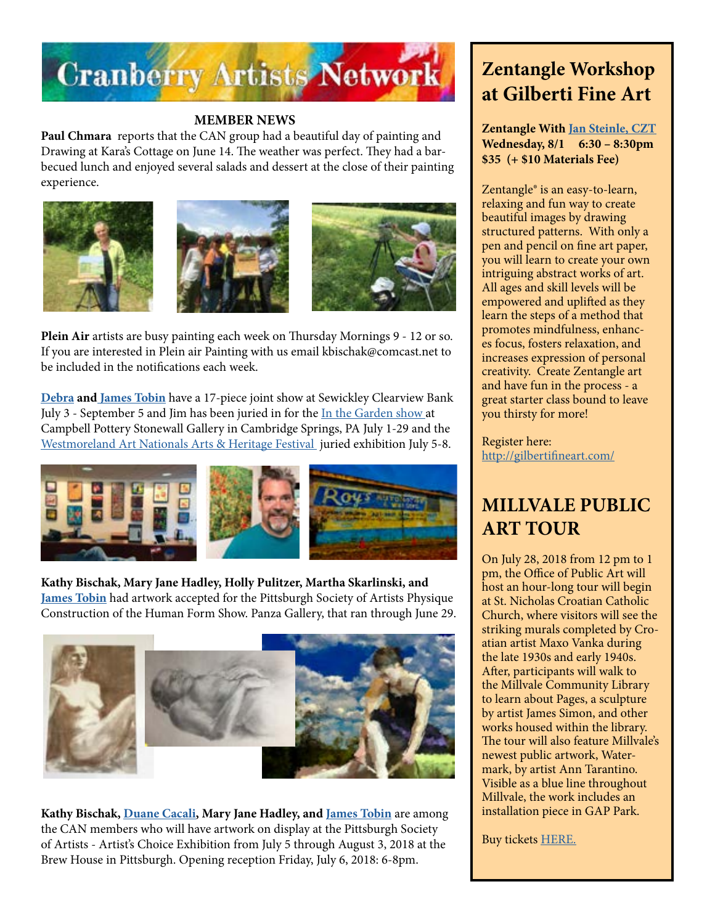

### **MEMBER NEWS**

**Paul Chmara** reports that the CAN group had a beautiful day of painting and Drawing at Kara's Cottage on June 14. The weather was perfect. They had a barbecued lunch and enjoyed several salads and dessert at the close of their painting experience.







**Plein Air** artists are busy painting each week on Thursday Mornings 9 - 12 or so. If you are interested in Plein air Painting with us email kbischak@comcast.net to be included in the notifications each week.

**[Debra](http://www.debratobinart.com/) an[d James Tobin](https://jamestobinart.com/)** have a 17-piece joint show at Sewickley Clearview Bank July 3 - September 5 and Jim has been juried in for the [In the Garden show](http://www.campbellpotterystore.com/events/event?date_time_id=932) at Campbell Pottery Stonewall Gallery in Cambridge Springs, PA July 1-29 and the [Westmoreland Art Nationals Arts & Heritage Festival](https://artsandheritage.com/the-arts/art-nationals/) juried exhibition July 5-8.



## **Kathy Bischak, Mary Jane Hadley, Holly Pulitzer, Martha Skarlinski, and**

**[James Tobin](https://jamestobinart.com/)** had artwork accepted for the Pittsburgh Society of Artists Physique Construction of the Human Form Show. Panza Gallery, that ran through June 29.



**Kathy Bischak, [Duane Cacali,](http://www.dcdigitalcanvas.com/) Mary Jane Hadley, and [James Tobin](https://jamestobinart.com/)** are among the CAN members who will have artwork on display at the Pittsburgh Society of Artists - Artist's Choice Exhibition from July 5 through August 3, 2018 at the Brew House in Pittsburgh. Opening reception Friday, July 6, 2018: 6-8pm.

## **Zentangle Workshop at Gilberti Fine Art**

**Zentangle With [Jan Steinle, CZT](https://www.facebook.com/tangledbee/) Wednesday, 8/1 6:30 – 8:30pm \$35 (+ \$10 Materials Fee)**

Zentangle® is an easy-to-learn, relaxing and fun way to create beautiful images by drawing structured patterns. With only a pen and pencil on fine art paper, you will learn to create your own intriguing abstract works of art. All ages and skill levels will be empowered and uplifted as they learn the steps of a method that promotes mindfulness, enhances focus, fosters relaxation, and increases expression of personal creativity. Create Zentangle art and have fun in the process - a great starter class bound to leave you thirsty for more!

Register here: <http://gilbertifineart.com/>

## **MILLVALE PUBLIC ART TOUR**

On July 28, 2018 from 12 pm to 1 pm, the Office of Public Art will host an hour-long tour will begin at St. Nicholas Croatian Catholic Church, where visitors will see the striking murals completed by Croatian artist Maxo Vanka during the late 1930s and early 1940s. After, participants will walk to the Millvale Community Library to learn about Pages, a sculpture by artist James Simon, and other works housed within the library. The tour will also feature Millvale's newest public artwork, Watermark, by artist Ann Tarantino. Visible as a blue line throughout Millvale, the work includes an installation piece in GAP Park.

Buy tickets [HERE.](http://www.pittsburghartscouncil.org/millvale-public-art-tour)